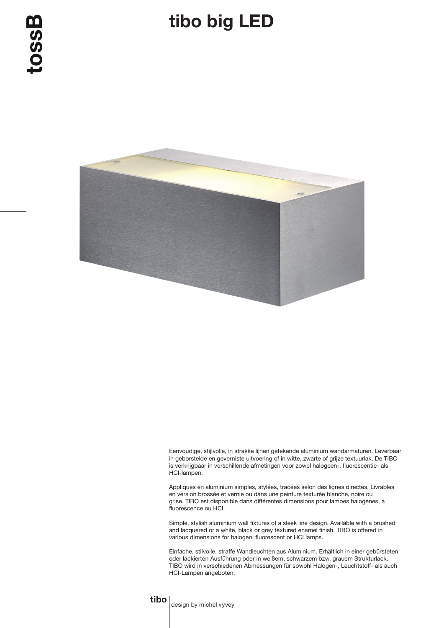## tibo big LED



Eenvoudige, stijlvolle, in strakke lijnen getekende aluminium wandarmaturen. Leverbaar in geborstelde en geverniste uitvoering of in witte, zwarte of grijze textuurlak. De TIBO is verkrijgbaar in verschillende afmetingen voor zowel halogeen-, fluorescentie- als HCI-lampen.

Appliques en aluminium simples, stylées, tracées selon des lignes directes. Livrables en version brossée et vernie ou dans une peinture texturée blanche, noire ou grise. TIBO est disponible dans différentes dimensions pour lampes halogènes, à fluorescence ou HCI.

Simple, stylish aluminium wall fixtures of a sleek line design. Available with a brushed and lacquered or a white, black or grey textured enamel finish. TIBO is offered in various dimensions for halogen, fluorescent or HCI lamps.

Einfache, stilvolle, straffe Wandleuchten aus Aluminium. Erhältlich in einer gebürsteten oder lackierten Ausführung oder in weißem, schwarzem bzw. grauem Strukturlack. TIBO wird in verschiedenen Abmessungen für sowohl Halogen-, Leuchtstoff- als auch HCI-Lampen angeboten.